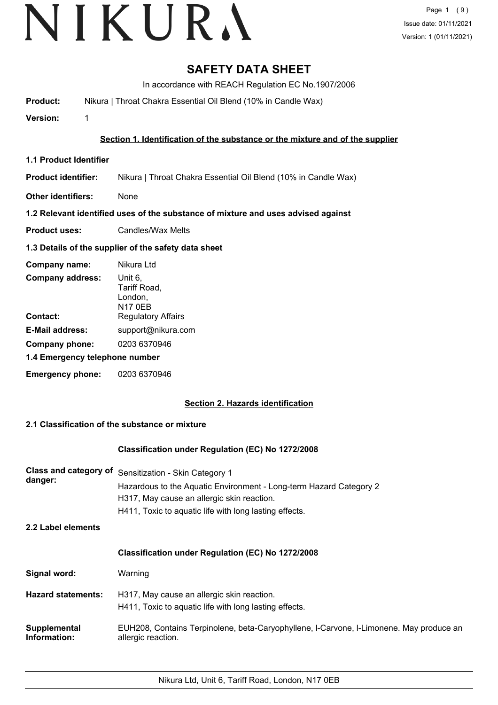# **SAFETY DATA SHEET**

In accordance with REACH Regulation EC No.1907/2006

**Product:** Nikura | Throat Chakra Essential Oil Blend (10% in Candle Wax)

**Version:** 1

# **Section 1. Identification of the substance or the mixture and of the supplier**

- **1.1 Product Identifier**
- **Product identifier:** Nikura | Throat Chakra Essential Oil Blend (10% in Candle Wax)
- **Other identifiers:** None

# **1.2 Relevant identified uses of the substance of mixture and uses advised against**

**Product uses:** Candles/Wax Melts

# **1.3 Details of the supplier of the safety data sheet**

| Company name:                  | Nikura Ltd                                           |
|--------------------------------|------------------------------------------------------|
| <b>Company address:</b>        | Unit 6,<br>Tariff Road,<br>London,<br><b>N17 0EB</b> |
| Contact:                       | <b>Regulatory Affairs</b>                            |
| <b>E-Mail address:</b>         | support@nikura.com                                   |
| Company phone:                 | 0203 6370946                                         |
| 1.4 Emergency telephone number |                                                      |
| <b>Emergency phone:</b>        | 0203 6370946                                         |

# **Section 2. Hazards identification**

# **2.1 Classification of the substance or mixture**

### **Classification under Regulation (EC) No 1272/2008**

| <b>Class and category of</b><br>danger: | Sensitization - Skin Category 1<br>Hazardous to the Aquatic Environment - Long-term Hazard Category 2<br>H317, May cause an allergic skin reaction.<br>H411, Toxic to aquatic life with long lasting effects. |  |
|-----------------------------------------|---------------------------------------------------------------------------------------------------------------------------------------------------------------------------------------------------------------|--|
| 2.2 Label elements                      |                                                                                                                                                                                                               |  |
|                                         | <b>Classification under Regulation (EC) No 1272/2008</b>                                                                                                                                                      |  |
| Signal word:                            | Warning                                                                                                                                                                                                       |  |
| <b>Hazard statements:</b>               | H317, May cause an allergic skin reaction.<br>H411, Toxic to aguatic life with long lasting effects.                                                                                                          |  |
| Supplemental<br>Information:            | EUH208, Contains Terpinolene, beta-Caryophyllene, I-Carvone, I-Limonene. May produce an<br>allergic reaction.                                                                                                 |  |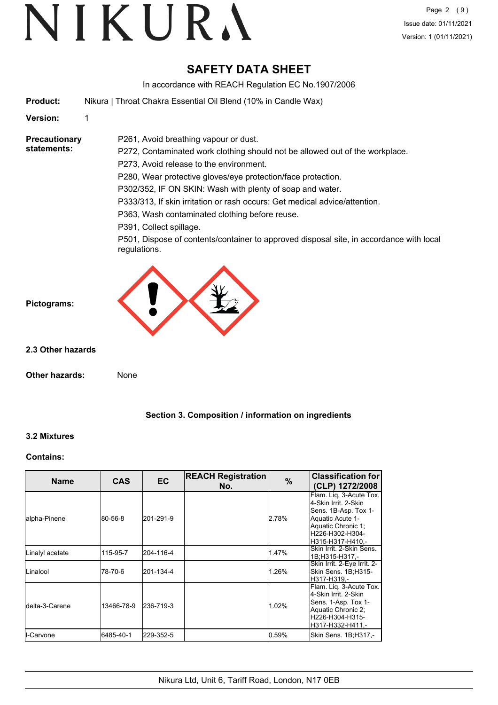# VIKURA

# **SAFETY DATA SHEET**

In accordance with REACH Regulation EC No.1907/2006

**Product:** Nikura | Throat Chakra Essential Oil Blend (10% in Candle Wax)

**Version:** 1

**Precautionary statements:**

P261, Avoid breathing vapour or dust. P272, Contaminated work clothing should not be allowed out of the workplace.

P273, Avoid release to the environment.

P280, Wear protective gloves/eye protection/face protection.

P302/352, IF ON SKIN: Wash with plenty of soap and water.

P333/313, If skin irritation or rash occurs: Get medical advice/attention.

P363, Wash contaminated clothing before reuse.

P391, Collect spillage.

P501, Dispose of contents/container to approved disposal site, in accordance with local regulations.



**2.3 Other hazards**

**Pictograms:**

**Other hazards:** None

# **Section 3. Composition / information on ingredients**

# **3.2 Mixtures**

### **Contains:**

| <b>Name</b>             | <b>CAS</b> | <b>EC</b> | <b>REACH Registration</b><br>No. | $\frac{9}{6}$ | <b>Classification for</b><br>(CLP) 1272/2008                                                                                                              |
|-------------------------|------------|-----------|----------------------------------|---------------|-----------------------------------------------------------------------------------------------------------------------------------------------------------|
| alpha-Pinene            | 80-56-8    | 201-291-9 |                                  | 2.78%         | Flam. Lig. 3-Acute Tox.<br>l4-Skin Irrit. 2-Skin<br>Sens. 1B-Asp. Tox 1-<br>Aquatic Acute 1-<br>Aquatic Chronic 1;<br>H226-H302-H304-<br>H315-H317-H410.- |
| Linalyl acetate         | 115-95-7   | 204-116-4 |                                  | 1.47%         | Skin Irrit, 2-Skin Sens.<br>1B;H315-H317,-                                                                                                                |
| Linalool                | 78-70-6    | 201-134-4 |                                  | 1.26%         | Skin Irrit. 2-Eye Irrit. 2-<br>Skin Sens. 1B;H315-<br>lH317-H319.-                                                                                        |
| <b>I</b> delta-3-Carene | 13466-78-9 | 236-719-3 |                                  | 1.02%         | Flam. Liq. 3-Acute Tox.<br>l4-Skin Irrit. 2-Skin<br>Sens. 1-Asp. Tox 1-<br>Aquatic Chronic 2;<br>lH226-H304-H315-<br>H317-H332-H411.-                     |
| <b>I</b> I-Carvone      | 6485-40-1  | 229-352-5 |                                  | 0.59%         | Skin Sens. 1B;H317,-                                                                                                                                      |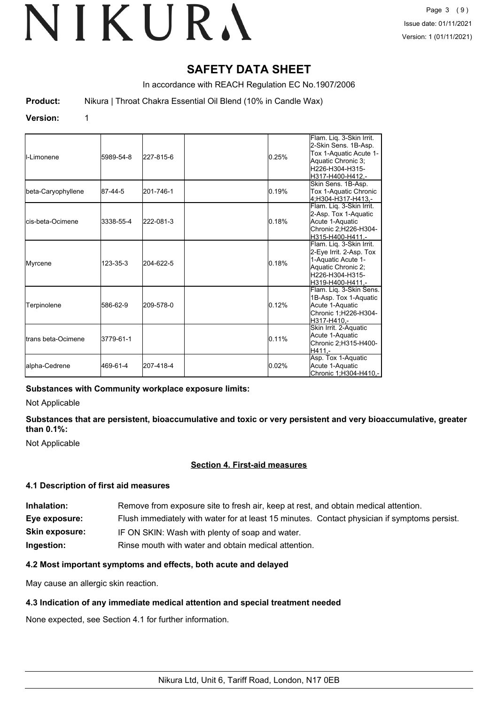# **SAFETY DATA SHEET**

In accordance with REACH Regulation EC No.1907/2006

**Product:** Nikura | Throat Chakra Essential Oil Blend (10% in Candle Wax)

### **Version:** 1

| <b>I</b> I-Limonene         | 5989-54-8 | 227-815-6 | 0.25% | Flam. Liq. 3-Skin Irrit.<br>2-Skin Sens. 1B-Asp.<br>Tox 1-Aquatic Acute 1-<br>Aquatic Chronic 3;<br>H226-H304-H315-<br>H317-H400-H412.- |
|-----------------------------|-----------|-----------|-------|-----------------------------------------------------------------------------------------------------------------------------------------|
| beta-Caryophyllene          | 87-44-5   | 201-746-1 | 0.19% | Skin Sens. 1B-Asp.<br>Tox 1-Aquatic Chronic<br>4:H304-H317-H413.-                                                                       |
| lcis-beta-Ocimene           | 3338-55-4 | 222-081-3 | 0.18% | Flam. Lig. 3-Skin Irrit.<br>2-Asp. Tox 1-Aquatic<br>Acute 1-Aquatic<br>Chronic 2;H226-H304-<br>H315-H400-H411.-                         |
| Myrcene                     | 123-35-3  | 204-622-5 | 0.18% | Flam. Lig. 3-Skin Irrit.<br>2-Eye Irrit. 2-Asp. Tox<br>1-Aquatic Acute 1-<br>Aquatic Chronic 2;<br>H226-H304-H315-<br>H319-H400-H411.-  |
| Terpinolene                 | 586-62-9  | 209-578-0 | 0.12% | Flam. Lig. 3-Skin Sens.<br>1B-Asp. Tox 1-Aquatic<br>Acute 1-Aquatic<br>Chronic 1;H226-H304-<br>H317-H410.-                              |
| <b>I</b> trans beta-Ocimene | 3779-61-1 |           | 0.11% | Skin Irrit. 2-Aquatic<br>Acute 1-Aquatic<br>Chronic 2; H315-H400-<br>H411.-                                                             |
| alpha-Cedrene               | 469-61-4  | 207-418-4 | 0.02% | Asp. Tox 1-Aquatic<br>Acute 1-Aquatic<br>Chronic 1;H304-H410,-                                                                          |

# **Substances with Community workplace exposure limits:**

Not Applicable

**Substances that are persistent, bioaccumulative and toxic or very persistent and very bioaccumulative, greater than 0.1%:**

Not Applicable

### **Section 4. First-aid measures**

### **4.1 Description of first aid measures**

**Inhalation:** Remove from exposure site to fresh air, keep at rest, and obtain medical attention. **Eye exposure:** Flush immediately with water for at least 15 minutes. Contact physician if symptoms persist. **Skin exposure:** IF ON SKIN: Wash with plenty of soap and water. **Ingestion:** Rinse mouth with water and obtain medical attention.

### **4.2 Most important symptoms and effects, both acute and delayed**

May cause an allergic skin reaction.

### **4.3 Indication of any immediate medical attention and special treatment needed**

None expected, see Section 4.1 for further information.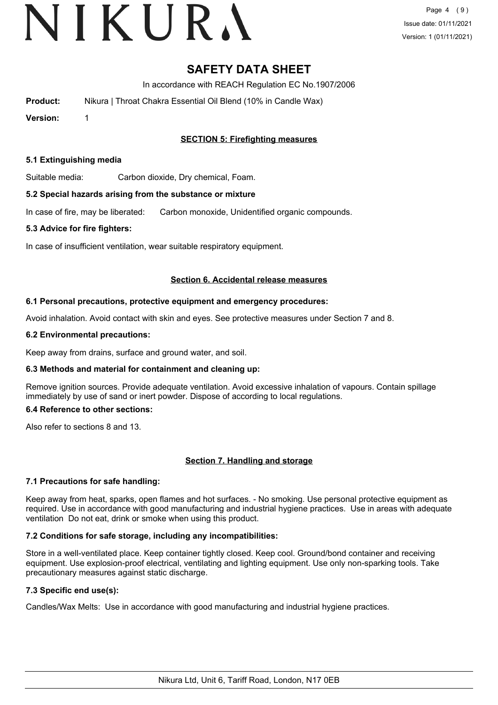# VIKURA

# **SAFETY DATA SHEET**

In accordance with REACH Regulation EC No.1907/2006

**Product:** Nikura | Throat Chakra Essential Oil Blend (10% in Candle Wax)

**Version:** 1

# **SECTION 5: Firefighting measures**

### **5.1 Extinguishing media**

Suitable media: Carbon dioxide, Dry chemical, Foam.

#### **5.2 Special hazards arising from the substance or mixture**

In case of fire, may be liberated: Carbon monoxide, Unidentified organic compounds.

#### **5.3 Advice for fire fighters:**

In case of insufficient ventilation, wear suitable respiratory equipment.

#### **Section 6. Accidental release measures**

#### **6.1 Personal precautions, protective equipment and emergency procedures:**

Avoid inhalation. Avoid contact with skin and eyes. See protective measures under Section 7 and 8.

#### **6.2 Environmental precautions:**

Keep away from drains, surface and ground water, and soil.

### **6.3 Methods and material for containment and cleaning up:**

Remove ignition sources. Provide adequate ventilation. Avoid excessive inhalation of vapours. Contain spillage immediately by use of sand or inert powder. Dispose of according to local regulations.

#### **6.4 Reference to other sections:**

Also refer to sections 8 and 13.

### **Section 7. Handling and storage**

### **7.1 Precautions for safe handling:**

Keep away from heat, sparks, open flames and hot surfaces. - No smoking. Use personal protective equipment as required. Use in accordance with good manufacturing and industrial hygiene practices. Use in areas with adequate ventilation Do not eat, drink or smoke when using this product.

### **7.2 Conditions for safe storage, including any incompatibilities:**

Store in a well-ventilated place. Keep container tightly closed. Keep cool. Ground/bond container and receiving equipment. Use explosion-proof electrical, ventilating and lighting equipment. Use only non-sparking tools. Take precautionary measures against static discharge.

# **7.3 Specific end use(s):**

Candles/Wax Melts: Use in accordance with good manufacturing and industrial hygiene practices.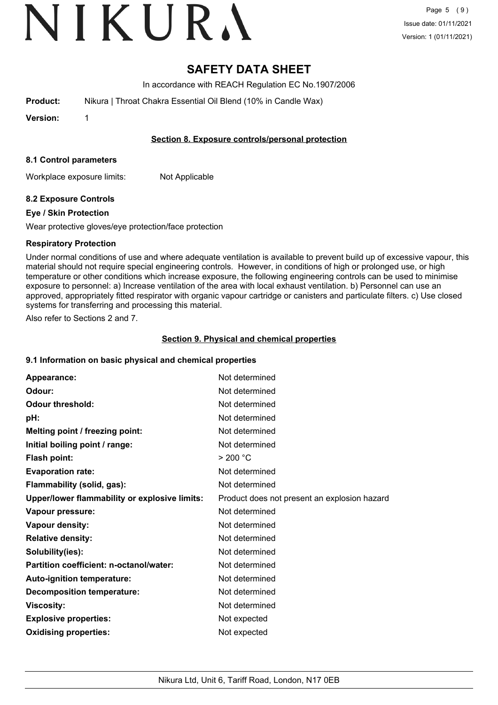# VIKURA

# **SAFETY DATA SHEET**

In accordance with REACH Regulation EC No.1907/2006

**Product:** Nikura | Throat Chakra Essential Oil Blend (10% in Candle Wax)

**Version:** 1

# **Section 8. Exposure controls/personal protection**

### **8.1 Control parameters**

Workplace exposure limits: Not Applicable

# **8.2 Exposure Controls**

# **Eye / Skin Protection**

Wear protective gloves/eye protection/face protection

# **Respiratory Protection**

Under normal conditions of use and where adequate ventilation is available to prevent build up of excessive vapour, this material should not require special engineering controls. However, in conditions of high or prolonged use, or high temperature or other conditions which increase exposure, the following engineering controls can be used to minimise exposure to personnel: a) Increase ventilation of the area with local exhaust ventilation. b) Personnel can use an approved, appropriately fitted respirator with organic vapour cartridge or canisters and particulate filters. c) Use closed systems for transferring and processing this material.

Also refer to Sections 2 and 7.

# **Section 9. Physical and chemical properties**

### **9.1 Information on basic physical and chemical properties**

| Appearance:                                   | Not determined                               |
|-----------------------------------------------|----------------------------------------------|
| Odour:                                        | Not determined                               |
| <b>Odour threshold:</b>                       | Not determined                               |
| pH:                                           | Not determined                               |
| Melting point / freezing point:               | Not determined                               |
| Initial boiling point / range:                | Not determined                               |
| <b>Flash point:</b>                           | > 200 °C                                     |
| <b>Evaporation rate:</b>                      | Not determined                               |
| Flammability (solid, gas):                    | Not determined                               |
| Upper/lower flammability or explosive limits: | Product does not present an explosion hazard |
| Vapour pressure:                              | Not determined                               |
| Vapour density:                               | Not determined                               |
| <b>Relative density:</b>                      | Not determined                               |
| Solubility(ies):                              | Not determined                               |
| Partition coefficient: n-octanol/water:       | Not determined                               |
| Auto-ignition temperature:                    | Not determined                               |
| <b>Decomposition temperature:</b>             | Not determined                               |
| <b>Viscosity:</b>                             | Not determined                               |
| <b>Explosive properties:</b>                  | Not expected                                 |
| <b>Oxidising properties:</b>                  | Not expected                                 |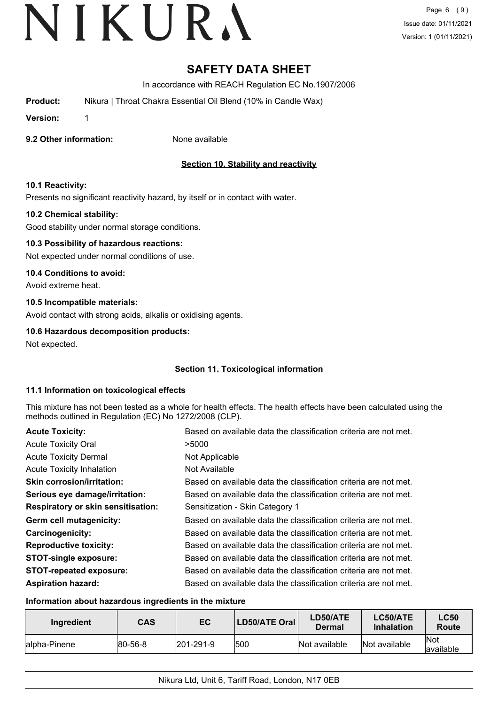# **SAFETY DATA SHEET**

In accordance with REACH Regulation EC No.1907/2006

**Product:** Nikura | Throat Chakra Essential Oil Blend (10% in Candle Wax)

**Version:** 1

## **9.2 Other information:** None available

# **Section 10. Stability and reactivity**

# **10.1 Reactivity:**

Presents no significant reactivity hazard, by itself or in contact with water.

### **10.2 Chemical stability:**

Good stability under normal storage conditions.

## **10.3 Possibility of hazardous reactions:**

Not expected under normal conditions of use.

## **10.4 Conditions to avoid:**

Avoid extreme heat.

### **10.5 Incompatible materials:**

Avoid contact with strong acids, alkalis or oxidising agents.

### **10.6 Hazardous decomposition products:**

Not expected.

# **Section 11. Toxicological information**

### **11.1 Information on toxicological effects**

This mixture has not been tested as a whole for health effects. The health effects have been calculated using the methods outlined in Regulation (EC) No 1272/2008 (CLP).

| <b>Acute Toxicity:</b>                    | Based on available data the classification criteria are not met. |
|-------------------------------------------|------------------------------------------------------------------|
| <b>Acute Toxicity Oral</b>                | >5000                                                            |
| <b>Acute Toxicity Dermal</b>              | Not Applicable                                                   |
| <b>Acute Toxicity Inhalation</b>          | Not Available                                                    |
| <b>Skin corrosion/irritation:</b>         | Based on available data the classification criteria are not met. |
| Serious eye damage/irritation:            | Based on available data the classification criteria are not met. |
| <b>Respiratory or skin sensitisation:</b> | Sensitization - Skin Category 1                                  |
| Germ cell mutagenicity:                   | Based on available data the classification criteria are not met. |
| <b>Carcinogenicity:</b>                   | Based on available data the classification criteria are not met. |
| <b>Reproductive toxicity:</b>             | Based on available data the classification criteria are not met. |
| <b>STOT-single exposure:</b>              | Based on available data the classification criteria are not met. |
| <b>STOT-repeated exposure:</b>            | Based on available data the classification criteria are not met. |
| <b>Aspiration hazard:</b>                 | Based on available data the classification criteria are not met. |

## **Information about hazardous ingredients in the mixture**

| Ingredient    | CAS             | EC                | <b>LD50/ATE Oral</b> | LD50/ATE<br>Dermal | <b>LC50/ATE</b><br><b>Inhalation</b> | <b>LC50</b><br>Route     |
|---------------|-----------------|-------------------|----------------------|--------------------|--------------------------------------|--------------------------|
| lalpha-Pinene | $ 80 - 56 - 8 $ | $ 201 - 291 - 9 $ | 1500                 | Not available      | Not available                        | <b>Not</b><br>lavailable |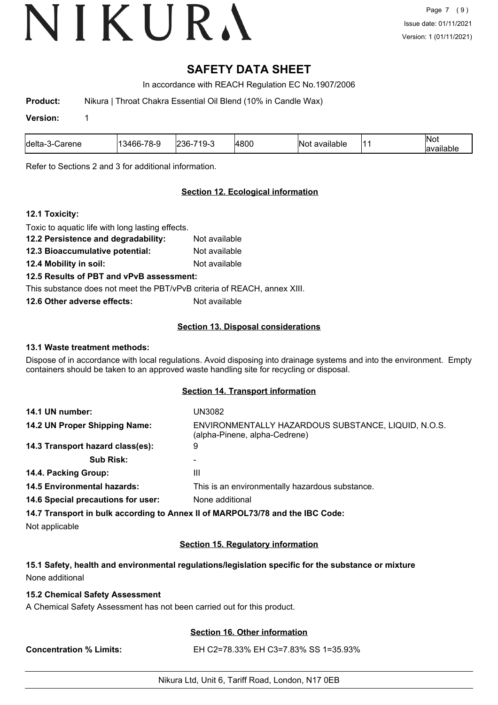# **SAFETY DATA SHEET**

In accordance with REACH Regulation EC No.1907/2006

**Product:** Nikura | Throat Chakra Essential Oil Blend (10% in Candle Wax)

#### **Version:** 1

| ldelta-<br>Carene<br>∴⊸⊃∹ | 14ه.<br>.<br>חר-<br>יר ∩י<br>. . | ن-19<br>236-<br>⊻ | 4800 | <br>∣N∩1<br>available |  | 'Not<br>.<br>allable |
|---------------------------|----------------------------------|-------------------|------|-----------------------|--|----------------------|
|---------------------------|----------------------------------|-------------------|------|-----------------------|--|----------------------|

Refer to Sections 2 and 3 for additional information.

# **Section 12. Ecological information**

# **12.1 Toxicity:**

| Toxic to aquatic life with long lasting effects.                         |               |
|--------------------------------------------------------------------------|---------------|
| 12.2 Persistence and degradability:                                      | Not available |
| 12.3 Bioaccumulative potential:                                          | Not available |
| 12.4 Mobility in soil:                                                   | Not available |
| 12.5 Results of PBT and vPvB assessment:                                 |               |
| This substance does not meet the PBT/vPvB criteria of REACH, annex XIII. |               |
| 12.6 Other adverse effects:                                              | Not available |
|                                                                          |               |

# **Section 13. Disposal considerations**

# **13.1 Waste treatment methods:**

Dispose of in accordance with local regulations. Avoid disposing into drainage systems and into the environment. Empty containers should be taken to an approved waste handling site for recycling or disposal.

### **Section 14. Transport information**

| 14.1 UN number:                    | UN3082                                                                               |
|------------------------------------|--------------------------------------------------------------------------------------|
| 14.2 UN Proper Shipping Name:      | ENVIRONMENTALLY HAZARDOUS SUBSTANCE, LIQUID, N.O.S.<br>(alpha-Pinene, alpha-Cedrene) |
| 14.3 Transport hazard class(es):   | 9                                                                                    |
| <b>Sub Risk:</b>                   |                                                                                      |
| 14.4. Packing Group:               | Ш                                                                                    |
| <b>14.5 Environmental hazards:</b> | This is an environmentally hazardous substance.                                      |
| 14.6 Special precautions for user: | None additional                                                                      |
|                                    | 14.7 Transport in bulk according to Annex II of MARPOL73/78 and the IBC Code:        |

Not applicable

# **Section 15. Regulatory information**

**15.1 Safety, health and environmental regulations/legislation specific for the substance or mixture** None additional

### **15.2 Chemical Safety Assessment**

A Chemical Safety Assessment has not been carried out for this product.

### **Section 16. Other information**

**Concentration % Limits:** EH C2=78.33% EH C3=7.83% SS 1=35.93%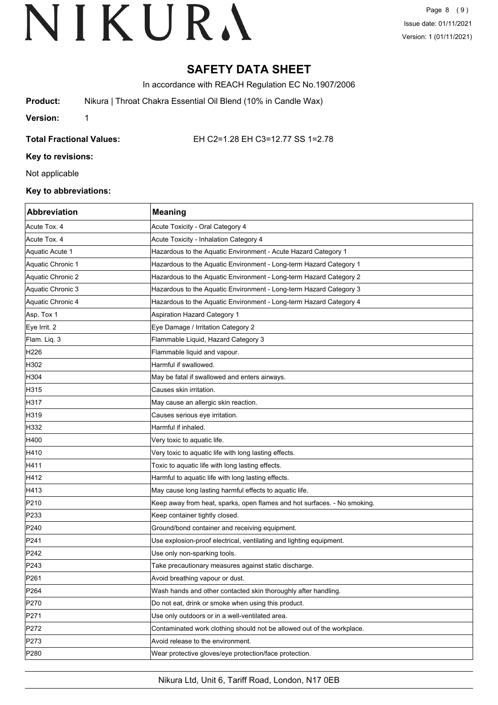Page 8 (9) Issue date: 01/11/2021 Version: 1 (01/11/2021)

# **SAFETY DATA SHEET**

In accordance with REACH Regulation EC No.1907/2006

**Product:** Nikura | Throat Chakra Essential Oil Blend (10% in Candle Wax)

**Version:** 1

**Total Fractional Values:** EH C2=1.28 EH C3=12.77 SS 1=2.78

**Key to revisions:**

Not applicable

### **Key to abbreviations:**

| Abbreviation      | <b>Meaning</b>                                                           |
|-------------------|--------------------------------------------------------------------------|
| Acute Tox. 4      | Acute Toxicity - Oral Category 4                                         |
| Acute Tox. 4      | Acute Toxicity - Inhalation Category 4                                   |
| Aquatic Acute 1   | Hazardous to the Aquatic Environment - Acute Hazard Category 1           |
| Aquatic Chronic 1 | Hazardous to the Aquatic Environment - Long-term Hazard Category 1       |
| Aquatic Chronic 2 | Hazardous to the Aquatic Environment - Long-term Hazard Category 2       |
| Aquatic Chronic 3 | Hazardous to the Aquatic Environment - Long-term Hazard Category 3       |
| Aquatic Chronic 4 | Hazardous to the Aquatic Environment - Long-term Hazard Category 4       |
| Asp. Tox 1        | <b>Aspiration Hazard Category 1</b>                                      |
| Eye Irrit. 2      | Eye Damage / Irritation Category 2                                       |
| Flam. Liq. 3      | Flammable Liquid, Hazard Category 3                                      |
| H226              | Flammable liquid and vapour.                                             |
| H302              | Harmful if swallowed.                                                    |
| H304              | May be fatal if swallowed and enters airways.                            |
| H315              | Causes skin irritation.                                                  |
| H317              | May cause an allergic skin reaction.                                     |
| H319              | Causes serious eye irritation.                                           |
| H332              | Harmful if inhaled.                                                      |
| H400              | Very toxic to aquatic life.                                              |
| H410              | Very toxic to aquatic life with long lasting effects.                    |
| H411              | Toxic to aquatic life with long lasting effects.                         |
| H412              | Harmful to aquatic life with long lasting effects.                       |
| H413              | May cause long lasting harmful effects to aquatic life.                  |
| P210              | Keep away from heat, sparks, open flames and hot surfaces. - No smoking. |
| P233              | Keep container tightly closed.                                           |
| P240              | Ground/bond container and receiving equipment.                           |
| P241              | Use explosion-proof electrical, ventilating and lighting equipment.      |
| P242              | Use only non-sparking tools.                                             |
| P243              | Take precautionary measures against static discharge.                    |
| P <sub>261</sub>  | Avoid breathing vapour or dust.                                          |
| P264              | Wash hands and other contacted skin thoroughly after handling.           |
| P270              | Do not eat, drink or smoke when using this product.                      |
| P271              | Use only outdoors or in a well-ventilated area.                          |
| P272              | Contaminated work clothing should not be allowed out of the workplace.   |
| P273              | Avoid release to the environment.                                        |
| P280              | Wear protective gloves/eye protection/face protection.                   |